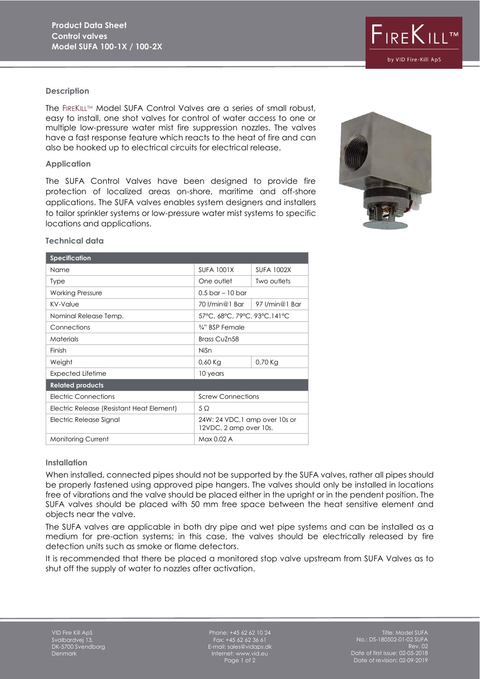# $F_{IRE}K_{ILL}$ by VID Fire-Kill ApS

#### **Description**

The FIREKILL™ Model SUFA Control Valves are a series of small robust, easy to install, one shot valves for control of water access to one or multiple low-pressure water mist fire suppression nozzles. The valves have a fast response feature which reacts to the heat of fire and can also be hooked up to electrical circuits for electrical release.

#### **Application**

The SUFA Control Valves have been designed to provide fire protection of localized areas on-shore, maritime and off-shore applications. The SUFA valves enables system designers and installers to tailor sprinkler systems or low-pressure water mist systems to specific locations and applications.



### **Technical data**

| <b>Specification</b>                      |                                                          |                   |
|-------------------------------------------|----------------------------------------------------------|-------------------|
| Name                                      | <b>SUFA 1001X</b>                                        | <b>SUFA 1002X</b> |
| Type                                      | One outlet                                               | Two outlets       |
| <b>Working Pressure</b>                   | $0.5$ bar – 10 bar                                       |                   |
| KV-Value                                  | 70 l/min@1 Bar                                           | 97 l/min@1 Bar    |
| Nominal Release Temp.                     | 57°C, 68°C, 79°C, 93°C, 141°C                            |                   |
| Connections                               | 3/4" BSP Female                                          |                   |
| <b>Materials</b>                          | Brass CuZn58                                             |                   |
| Finish                                    | <b>NiSn</b>                                              |                   |
| Weight                                    | $0,60$ Kg                                                | $0,70$ Kg         |
| <b>Expected Lifetime</b>                  | 10 years                                                 |                   |
| <b>Related products</b>                   |                                                          |                   |
| Electric Connections                      | <b>Screw Connections</b>                                 |                   |
| Electric Release (Resistant Heat Element) | 5 Q                                                      |                   |
| Electric Release Signal                   | 24W: 24 VDC, 1 amp over 10s or<br>12VDC, 2 amp over 10s. |                   |
| <b>Monitoring Current</b>                 | Max 0.02 A                                               |                   |

#### **Installation**

When installed, connected pipes should not be supported by the SUFA valves, rather all pipes should be properly fastened using approved pipe hangers. The valves should only be installed in locations free of vibrations and the valve should be placed either in the upright or in the pendent position. The SUFA valves should be placed with 50 mm free space between the heat sensitive element and objects near the valve.

The SUFA valves are applicable in both dry pipe and wet pipe systems and can be installed as a medium for pre-action systems; in this case, the valves should be electrically released by fire detection units such as smoke or flame detectors.

It is recommended that there be placed a monitored stop valve upstream from SUFA Valves as to shut off the supply of water to nozzles after activation.

Phone: +45 62 62 10 24 Fax: +45 62 62 36 61 E-mail: sales@vidaps.dk Internet: www.vid.eu Page 1 of 2